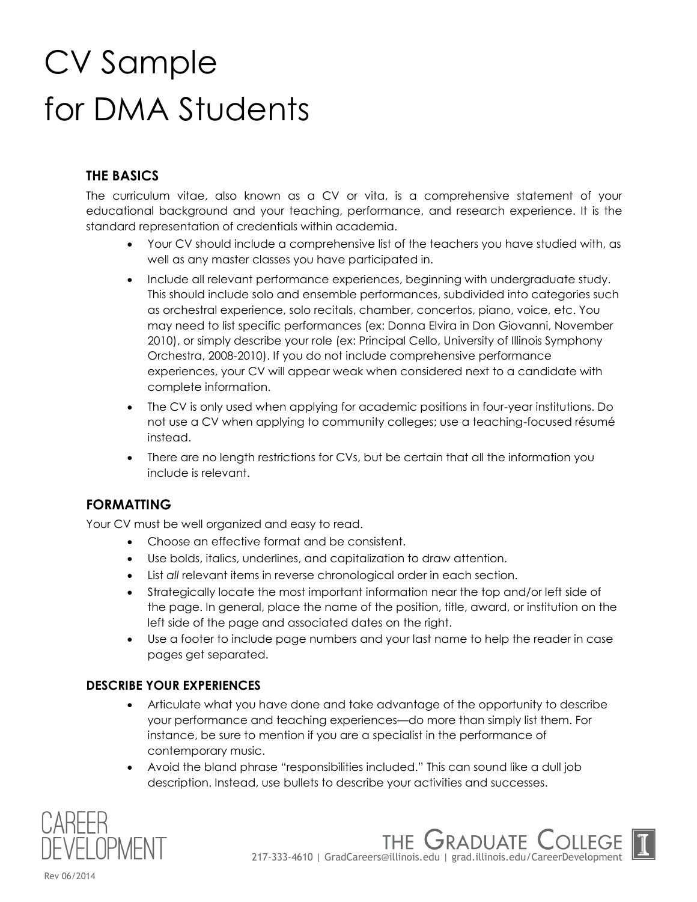# CV Sample for DMA Students

# **THE BASICS**

The curriculum vitae, also known as a CV or vita, is a comprehensive statement of your educational background and your teaching, performance, and research experience. It is the standard representation of credentials within academia.

- Your CV should include a comprehensive list of the teachers you have studied with, as well as any master classes you have participated in.
- Include all relevant performance experiences, beginning with undergraduate study. This should include solo and ensemble performances, subdivided into categories such as orchestral experience, solo recitals, chamber, concertos, piano, voice, etc. You may need to list specific performances (ex: Donna Elvira in Don Giovanni, November 2010), or simply describe your role (ex: Principal Cello, University of Illinois Symphony Orchestra, 2008-2010). If you do not include comprehensive performance experiences, your CV will appear weak when considered next to a candidate with complete information.
- The CV is only used when applying for academic positions in four-year institutions. Do not use a CV when applying to community colleges; use a teaching-focused résumé instead.
- There are no length restrictions for CVs, but be certain that all the information you include is relevant.

# **FORMATTING**

Your CV must be well organized and easy to read.

- Choose an effective format and be consistent.
- Use bolds, italics, underlines, and capitalization to draw attention.
- List *all* relevant items in reverse chronological order in each section.
- Strategically locate the most important information near the top and/or left side of the page. In general, place the name of the position, title, award, or institution on the left side of the page and associated dates on the right.
- Use a footer to include page numbers and your last name to help the reader in case pages get separated.

# **DESCRIBE YOUR EXPERIENCES**

- Articulate what you have done and take advantage of the opportunity to describe your performance and teaching experiences—do more than simply list them. For instance, be sure to mention if you are a specialist in the performance of contemporary music.
- Avoid the bland phrase "responsibilities included." This can sound like a dull job description. Instead, use bullets to describe your activities and successes.



217-333-4610 | GradCareers@illinois.edu | grad.illinois.edu/CareerDevelopment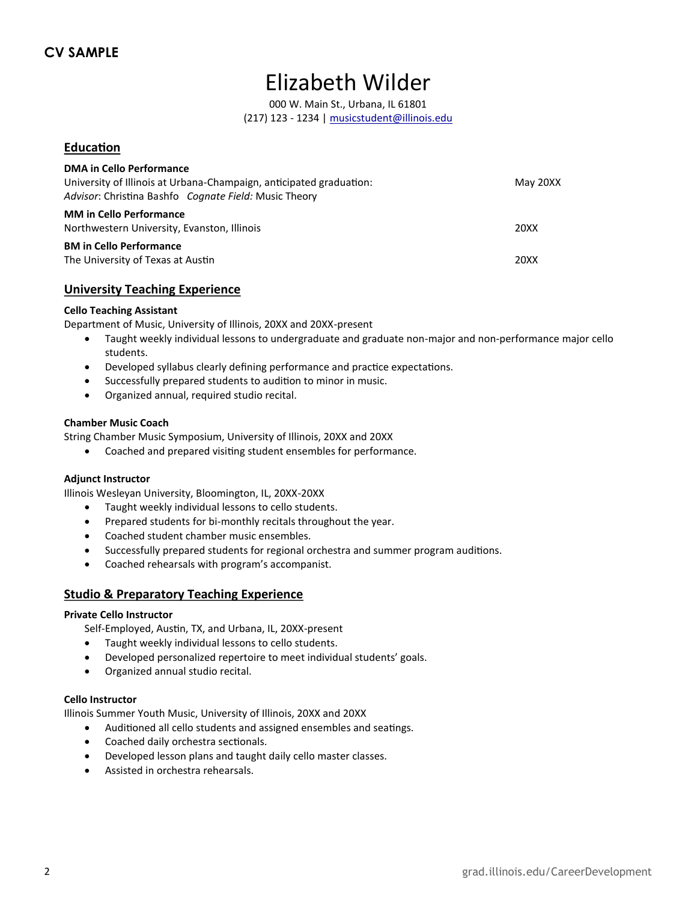# Elizabeth Wilder

000 W. Main St., Urbana, IL 61801 (217) 123 - 1234 | musicstudent@illinois.edu

#### **Education**

| <b>DMA in Cello Performance</b><br>University of Illinois at Urbana-Champaign, anticipated graduation:<br>Advisor: Christina Bashfo Cognate Field: Music Theory | May 20XX |
|-----------------------------------------------------------------------------------------------------------------------------------------------------------------|----------|
| <b>MM</b> in Cello Performance<br>Northwestern University, Evanston, Illinois                                                                                   | 20XX     |
| <b>BM in Cello Performance</b><br>The University of Texas at Austin                                                                                             | 20XX     |

#### **University Teaching Experience**

#### **Cello Teaching Assistant**

Department of Music, University of Illinois, 20XX and 20XX-present

- Taught weekly individual lessons to undergraduate and graduate non-major and non-performance major cello students.
- Developed syllabus clearly defining performance and practice expectations.
- Successfully prepared students to audition to minor in music.
- Organized annual, required studio recital.

#### **Chamber Music Coach**

String Chamber Music Symposium, University of Illinois, 20XX and 20XX

Coached and prepared visiting student ensembles for performance.

#### **Adjunct Instructor**

Illinois Wesleyan University, Bloomington, IL, 20XX-20XX

- Taught weekly individual lessons to cello students.
- Prepared students for bi-monthly recitals throughout the year.
- Coached student chamber music ensembles.
- Successfully prepared students for regional orchestra and summer program auditions.
- Coached rehearsals with program's accompanist.

#### **Studio & Preparatory Teaching Experience**

#### **Private Cello Instructor**

Self-Employed, Austin, TX, and Urbana, IL, 20XX-present

- Taught weekly individual lessons to cello students.
- Developed personalized repertoire to meet individual students' goals.
- Organized annual studio recital.

#### **Cello Instructor**

Illinois Summer Youth Music, University of Illinois, 20XX and 20XX

- Auditioned all cello students and assigned ensembles and seatings.
- Coached daily orchestra sectionals.
- Developed lesson plans and taught daily cello master classes.
- Assisted in orchestra rehearsals.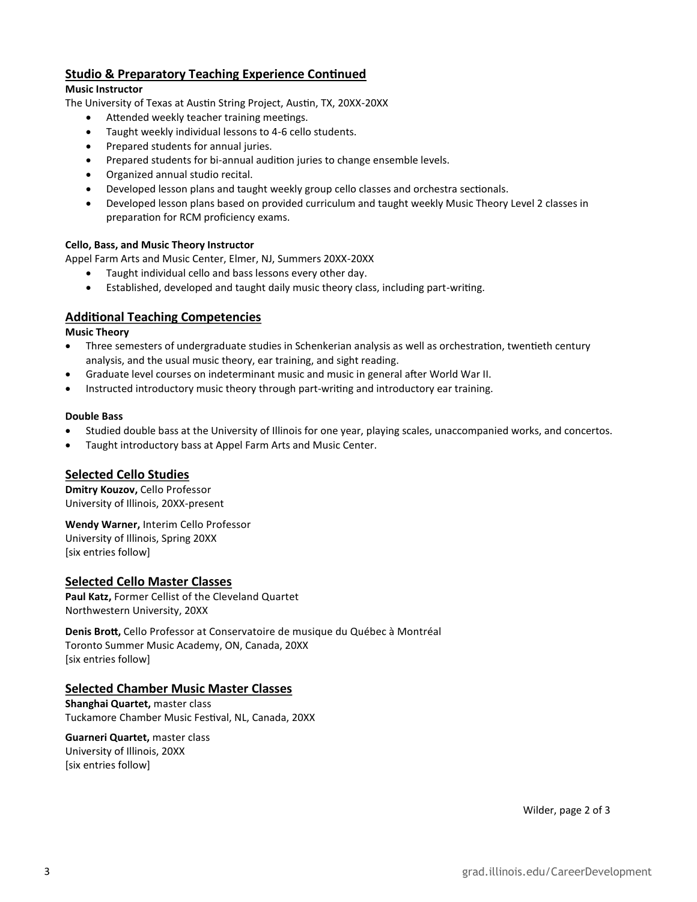### **Studio & Preparatory Teaching Experience Continued**

#### **Music Instructor**

The University of Texas at Austin String Project, Austin, TX, 20XX-20XX

- Attended weekly teacher training meetings.
- Taught weekly individual lessons to 4-6 cello students.
- Prepared students for annual juries.
- Prepared students for bi-annual audition juries to change ensemble levels.
- Organized annual studio recital.
- Developed lesson plans and taught weekly group cello classes and orchestra sectionals.
- Developed lesson plans based on provided curriculum and taught weekly Music Theory Level 2 classes in preparation for RCM proficiency exams.

#### **Cello, Bass, and Music Theory Instructor**

Appel Farm Arts and Music Center, Elmer, NJ, Summers 20XX-20XX

- Taught individual cello and bass lessons every other day.
- Established, developed and taught daily music theory class, including part-writing.

#### **Additional Teaching Competencies**

#### **Music Theory**

- Three semesters of undergraduate studies in Schenkerian analysis as well as orchestration, twentieth century analysis, and the usual music theory, ear training, and sight reading.
- Graduate level courses on indeterminant music and music in general after World War II.
- Instructed introductory music theory through part-writing and introductory ear training.

#### **Double Bass**

- Studied double bass at the University of Illinois for one year, playing scales, unaccompanied works, and concertos.
- Taught introductory bass at Appel Farm Arts and Music Center.

#### **Selected Cello Studies**

**Dmitry Kouzov,** Cello Professor University of Illinois, 20XX-present

**Wendy Warner,** Interim Cello Professor

University of Illinois, Spring 20XX [six entries follow]

#### **Selected Cello Master Classes**

**Paul Katz,** Former Cellist of the Cleveland Quartet Northwestern University, 20XX

**Denis Brott,** Cello Professor at Conservatoire de musique du Québec à Montréal Toronto Summer Music Academy, ON, Canada, 20XX [six entries follow]

#### **Selected Chamber Music Master Classes**

**Shanghai Quartet,** master class Tuckamore Chamber Music Festival, NL, Canada, 20XX

**Guarneri Quartet,** master class University of Illinois, 20XX [six entries follow]

Wilder, page 2 of 3